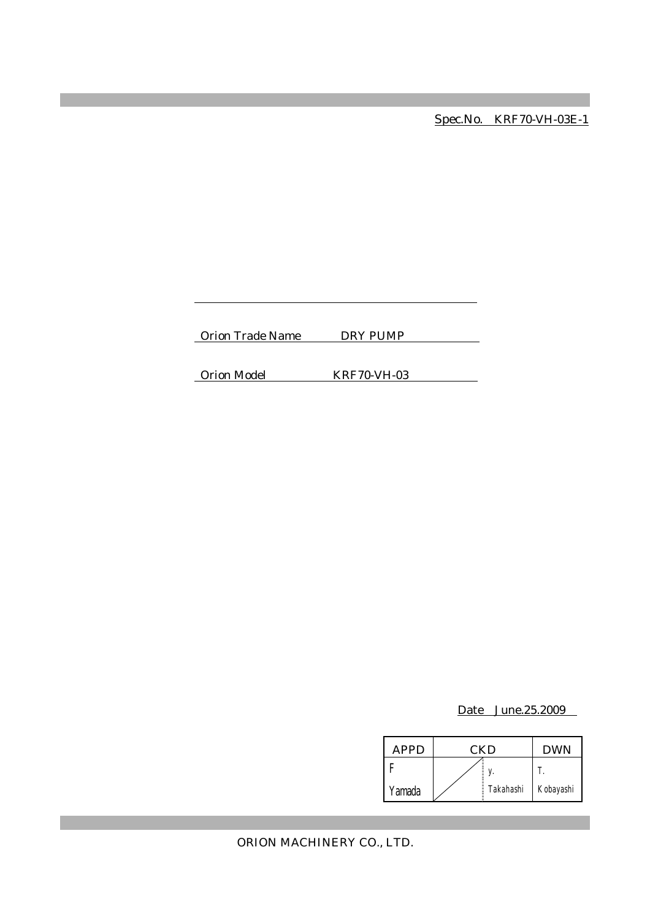Spec.No. KRF70-VH-03E-1

Orion Trade Name DRY PUMP

Orion Model KRF70-VH-03

Date June.25.2009

| <b>APPD</b> | CKD |           | <b>DWN</b> |
|-------------|-----|-----------|------------|
|             |     |           |            |
| Yamada      |     | Takahashi | Kobayashi  |

ORION MACHINERY CO., LTD.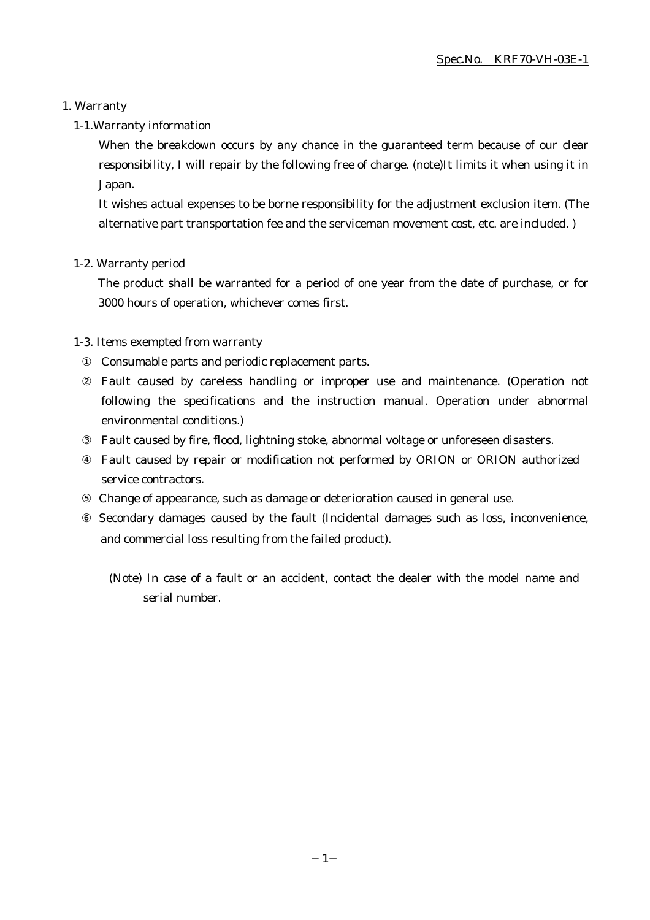#### 1. Warranty

#### 1-1.Warranty information

When the breakdown occurs by any chance in the guaranteed term because of our clear responsibility, I will repair by the following free of charge. (note)It limits it when using it in Japan.

It wishes actual expenses to be borne responsibility for the adjustment exclusion item. (The alternative part transportation fee and the serviceman movement cost, etc. are included. )

#### 1-2. Warranty period

The product shall be warranted for a period of one year from the date of purchase, or for 3000 hours of operation, whichever comes first.

#### 1-3. Items exempted from warranty

Consumable parts and periodic replacement parts.

Fault caused by careless handling or improper use and maintenance. (Operation not following the specifications and the instruction manual. Operation under abnormal environmental conditions.)

Fault caused by fire, flood, lightning stoke, abnormal voltage or unforeseen disasters.

Fault caused by repair or modification not performed by ORION or ORION authorized service contractors.

Change of appearance, such as damage or deterioration caused in general use.

 Secondary damages caused by the fault (Incidental damages such as loss, inconvenience, and commercial loss resulting from the failed product).

(Note) In case of a fault or an accident, contact the dealer with the model name and serial number.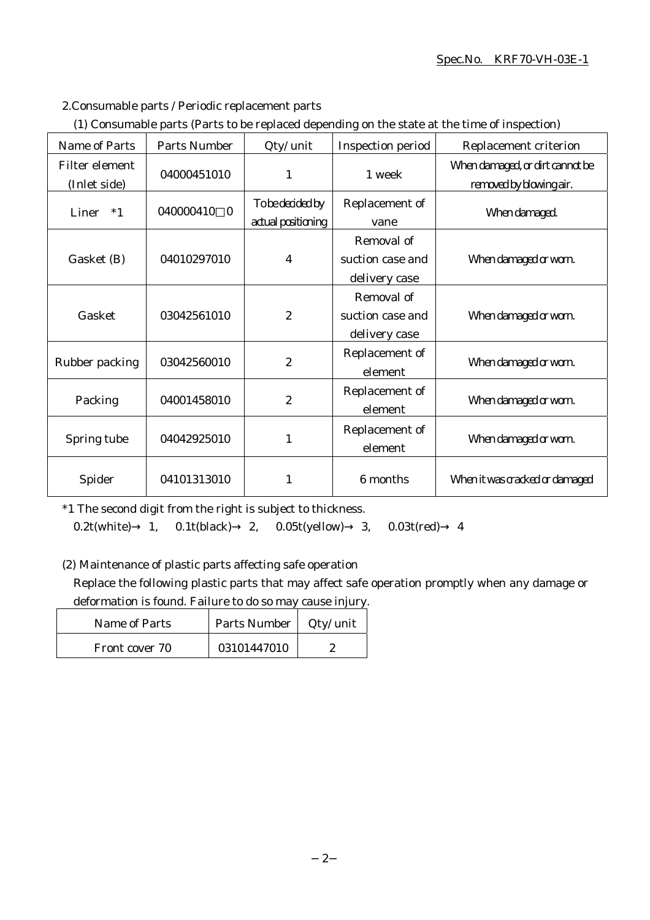### Spec.No. KRF70-VH-03E-1

#### 2.Consumable parts / Periodic replacement parts

|  | (1) Consumable parts (Parts to be replaced depending on the state at the time of inspection) |  |
|--|----------------------------------------------------------------------------------------------|--|
|  |                                                                                              |  |

| Name of Parts                  | <b>Parts Number</b>         | Qty/ unit                              | Inspection period                               | Replacement criterion                                      |
|--------------------------------|-----------------------------|----------------------------------------|-------------------------------------------------|------------------------------------------------------------|
| Filter element<br>(Inlet side) | 04000451010                 | 1                                      | 1 week                                          | When damaged, or dirt cannot be<br>removed by blowing air. |
| Liner<br>$*1$                  | 040000410<br>$\overline{0}$ | To be decided by<br>actual positioning | Replacement of<br>vane                          | When damaged.                                              |
| Gasket (B)                     | 04010297010                 | 4                                      | Removal of<br>suction case and<br>delivery case | When damaged or worn.                                      |
| Gasket                         | 03042561010                 | $\boldsymbol{2}$                       | Removal of<br>suction case and<br>delivery case | When damaged or worn.                                      |
| Rubber packing                 | 03042560010                 | $\boldsymbol{2}$                       | Replacement of<br>element                       | When damaged or worn.                                      |
| Packing                        | 04001458010                 | $\boldsymbol{2}$                       | Replacement of<br>element                       | When damaged or worn.                                      |
| Spring tube                    | 04042925010                 | 1                                      | Replacement of<br>element                       | When damaged or worn.                                      |
| Spider                         | 04101313010                 | 1                                      | 6 months                                        | When it was cracked or damaged                             |

\*1 The second digit from the right is subject to thickness.

0.2t(white) 1, 0.1t(black) 2, 0.05t(yellow) 3, 0.03t(red) 4

(2) Maintenance of plastic parts affecting safe operation

Replace the following plastic parts that may affect safe operation promptly when any damage or deformation is found. Failure to do so may cause injury.

| <b>Name of Parts</b> | Parts Number | Qty/ unit |
|----------------------|--------------|-----------|
| Front cover 70       | 03101447010  |           |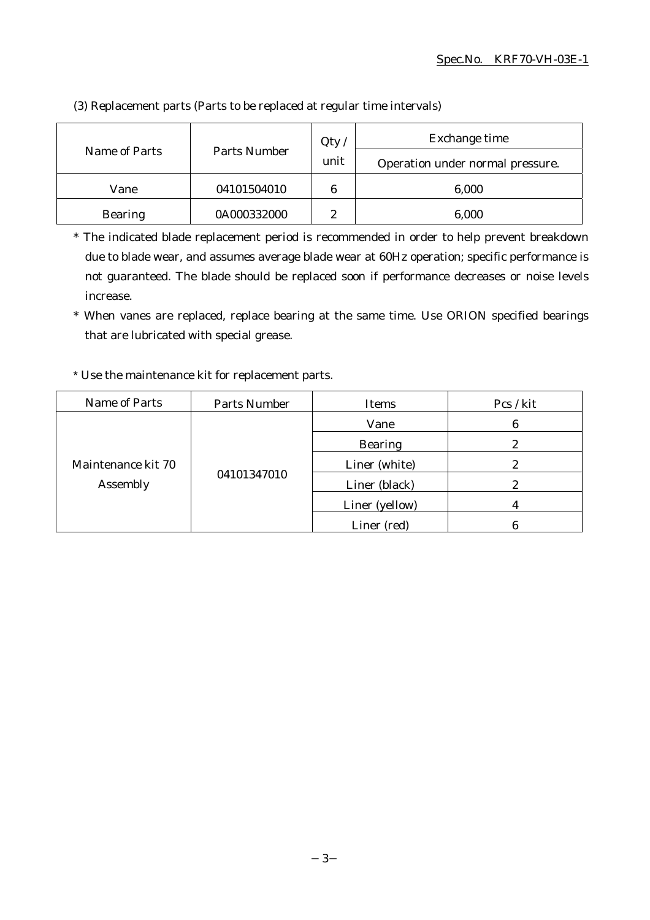| Name of Parts  | Parts Number | Qty<br>unit    | Exchange time<br>Operation under normal pressure. |
|----------------|--------------|----------------|---------------------------------------------------|
| Vane           | 04101504010  | 6              | 6,000                                             |
| <b>Bearing</b> | 0A000332000  | $\overline{c}$ | 6,000                                             |

(3) Replacement parts (Parts to be replaced at regular time intervals)

\* The indicated blade replacement period is recommended in order to help prevent breakdown due to blade wear, and assumes average blade wear at 60Hz operation; specific performance is not guaranteed. The blade should be replaced soon if performance decreases or noise levels increase.

\* When vanes are replaced, replace bearing at the same time. Use ORION specified bearings that are lubricated with special grease.

#### \* Use the maintenance kit for replacement parts.

| Name of Parts                  | Parts Number | <b>Items</b>   | Pcs / kit |
|--------------------------------|--------------|----------------|-----------|
| Maintenance kit 70<br>Assembly | 04101347010  | Vane           | 6         |
|                                |              | <b>Bearing</b> | 2         |
|                                |              | Liner (white)  |           |
|                                |              | Liner (black)  |           |
|                                |              | Liner (yellow) |           |
|                                |              | Liner (red)    |           |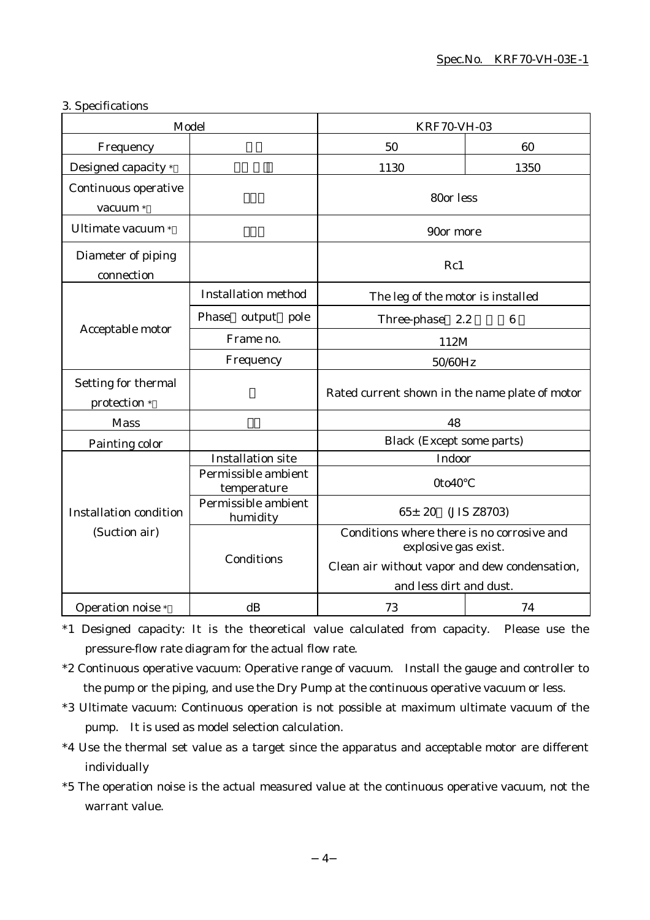#### 3. Specifications

| Model                               |                                    | <b>KRF70-VH-03</b>                                                                                                                             |                 |  |
|-------------------------------------|------------------------------------|------------------------------------------------------------------------------------------------------------------------------------------------|-----------------|--|
| Frequency                           |                                    | 50                                                                                                                                             | 60              |  |
| Designed capacity *                 |                                    | 1130                                                                                                                                           | 1350            |  |
| Continuous operative<br>vacuum *    |                                    | 80or less                                                                                                                                      |                 |  |
| Ultimate vacuum *                   |                                    | 90or more                                                                                                                                      |                 |  |
| Diameter of piping<br>connection    |                                    | Rc1                                                                                                                                            |                 |  |
|                                     | <b>Installation method</b>         | The leg of the motor is installed                                                                                                              |                 |  |
|                                     | Phase<br>output pole               | 2.2<br>Three-phase                                                                                                                             | $6\phantom{1}6$ |  |
| Acceptable motor                    | Frame no.                          | 112M                                                                                                                                           |                 |  |
|                                     | Frequency                          | 50/60Hz                                                                                                                                        |                 |  |
| Setting for thermal<br>protection * |                                    | Rated current shown in the name plate of motor                                                                                                 |                 |  |
| <b>Mass</b>                         |                                    | 48                                                                                                                                             |                 |  |
| Painting color                      |                                    | <b>Black (Except some parts)</b>                                                                                                               |                 |  |
|                                     | <b>Installation site</b>           | Indoor                                                                                                                                         |                 |  |
|                                     | Permissible ambient<br>temperature | 0to40                                                                                                                                          |                 |  |
| <b>Installation condition</b>       | Permissible ambient<br>humidity    | $65 \pm 20$<br>(JIS Z8703)                                                                                                                     |                 |  |
| (Suction air)<br>Conditions         |                                    | Conditions where there is no corrosive and<br>explosive gas exist.<br>Clean air without vapor and dew condensation,<br>and less dirt and dust. |                 |  |
| Operation noise *                   | dB                                 | 73                                                                                                                                             | 74              |  |

\*1 Designed capacity: It is the theoretical value calculated from capacity. Please use the pressure-flow rate diagram for the actual flow rate.

- \*2 Continuous operative vacuum: Operative range of vacuum. Install the gauge and controller to the pump or the piping, and use the Dry Pump at the continuous operative vacuum or less.
- \*3 Ultimate vacuum: Continuous operation is not possible at maximum ultimate vacuum of the pump. It is used as model selection calculation.
- \*4 Use the thermal set value as a target since the apparatus and acceptable motor are different individually
- \*5 The operation noise is the actual measured value at the continuous operative vacuum, not the warrant value.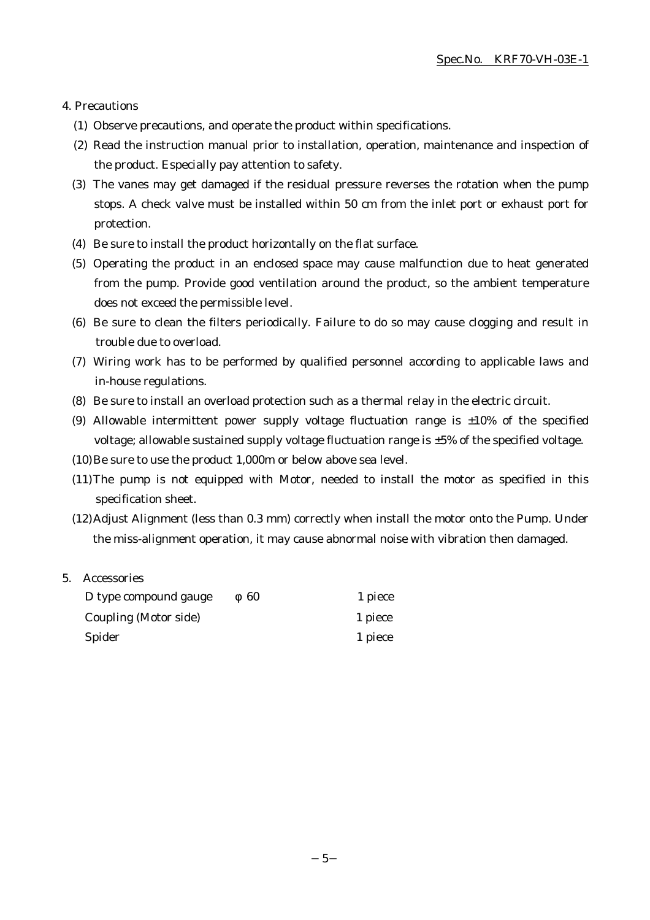#### 4. Precautions

- (1) Observe precautions, and operate the product within specifications.
- (2) Read the instruction manual prior to installation, operation, maintenance and inspection of the product. Especially pay attention to safety.
- (3) The vanes may get damaged if the residual pressure reverses the rotation when the pump stops. A check valve must be installed within 50 cm from the inlet port or exhaust port for protection.
- (4) Be sure to install the product horizontally on the flat surface.
- (5) Operating the product in an enclosed space may cause malfunction due to heat generated from the pump. Provide good ventilation around the product, so the ambient temperature does not exceed the permissible level.
- (6) Be sure to clean the filters periodically. Failure to do so may cause clogging and result in trouble due to overload.
- (7) Wiring work has to be performed by qualified personnel according to applicable laws and in-house regulations.
- (8) Be sure to install an overload protection such as a thermal relay in the electric circuit.
- (9) Allowable intermittent power supply voltage fluctuation range is  $\pm 10\%$  of the specified voltage; allowable sustained supply voltage fluctuation range is ±5% of the specified voltage.
- (10)Be sure to use the product 1,000m or below above sea level.
- (11)The pump is not equipped with Motor, needed to install the motor as specified in this specification sheet.
- (12)Adjust Alignment (less than 0.3 mm) correctly when install the motor onto the Pump. Under the miss-alignment operation, it may cause abnormal noise with vibration then damaged.

#### 5. Accessories

| D type compound gauge | 60 | 1 piece |
|-----------------------|----|---------|
| Coupling (Motor side) |    | 1 piece |
| Spider                |    | 1 piece |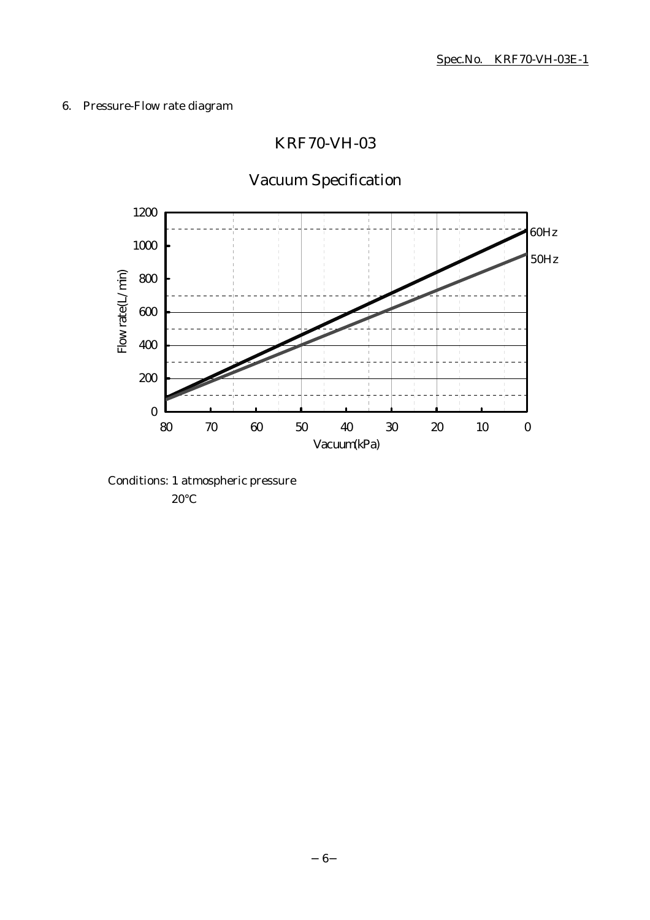## 6. Pressure-Flow rate diagram

# KRF70-VH-03



# Vacuum Specification

Conditions: 1 atmospheric pressure 20